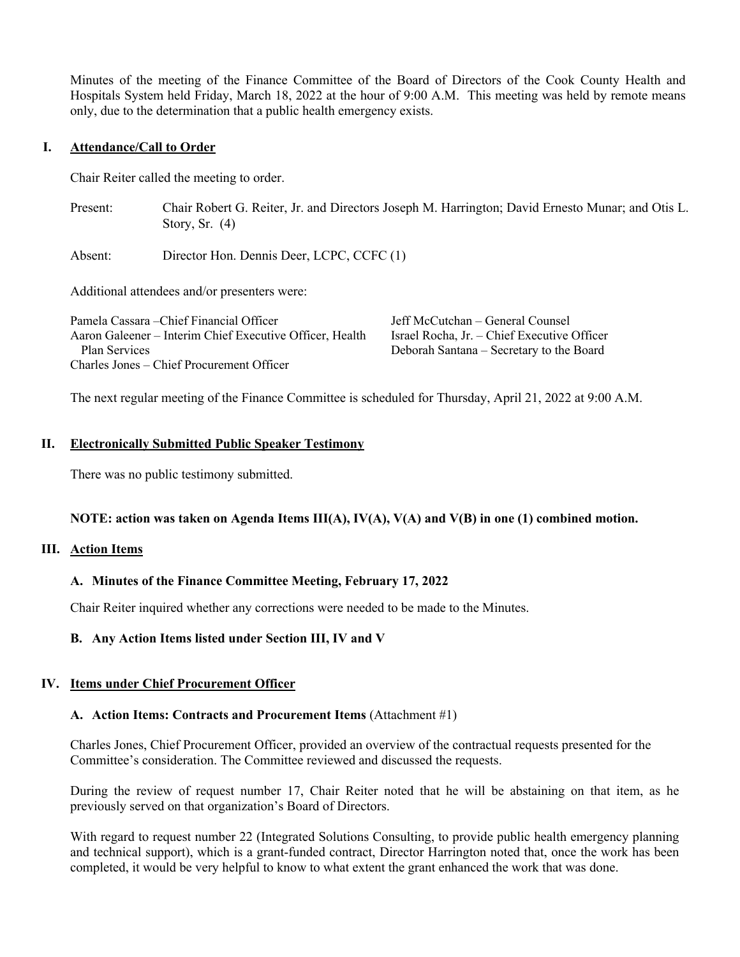Minutes of the meeting of the Finance Committee of the Board of Directors of the Cook County Health and Hospitals System held Friday, March 18, 2022 at the hour of 9:00 A.M. This meeting was held by remote means only, due to the determination that a public health emergency exists.

### **I. Attendance/Call to Order**

Chair Reiter called the meeting to order.

Present: Chair Robert G. Reiter, Jr. and Directors Joseph M. Harrington; David Ernesto Munar; and Otis L. Story, Sr. (4)

Absent: Director Hon. Dennis Deer, LCPC, CCFC (1)

Additional attendees and/or presenters were:

| Pamela Cassara – Chief Financial Officer                 | Jeff McCutchan – General Counsel            |
|----------------------------------------------------------|---------------------------------------------|
| Aaron Galeener – Interim Chief Executive Officer, Health | Israel Rocha, Jr. - Chief Executive Officer |
| Plan Services                                            | Deborah Santana – Secretary to the Board    |
| Charles Jones – Chief Procurement Officer                |                                             |

The next regular meeting of the Finance Committee is scheduled for Thursday, April 21, 2022 at 9:00 A.M.

### **II. Electronically Submitted Public Speaker Testimony**

There was no public testimony submitted.

## **NOTE: action was taken on Agenda Items III(A), IV(A), V(A) and V(B) in one (1) combined motion.**

#### **III. Action Items**

## **A. Minutes of the Finance Committee Meeting, February 17, 2022**

Chair Reiter inquired whether any corrections were needed to be made to the Minutes.

## **B. Any Action Items listed under Section III, IV and V**

## **IV. Items under Chief Procurement Officer**

### **A. Action Items: Contracts and Procurement Items** (Attachment #1)

Charles Jones, Chief Procurement Officer, provided an overview of the contractual requests presented for the Committee's consideration. The Committee reviewed and discussed the requests.

During the review of request number 17, Chair Reiter noted that he will be abstaining on that item, as he previously served on that organization's Board of Directors.

With regard to request number 22 (Integrated Solutions Consulting, to provide public health emergency planning and technical support), which is a grant-funded contract, Director Harrington noted that, once the work has been completed, it would be very helpful to know to what extent the grant enhanced the work that was done.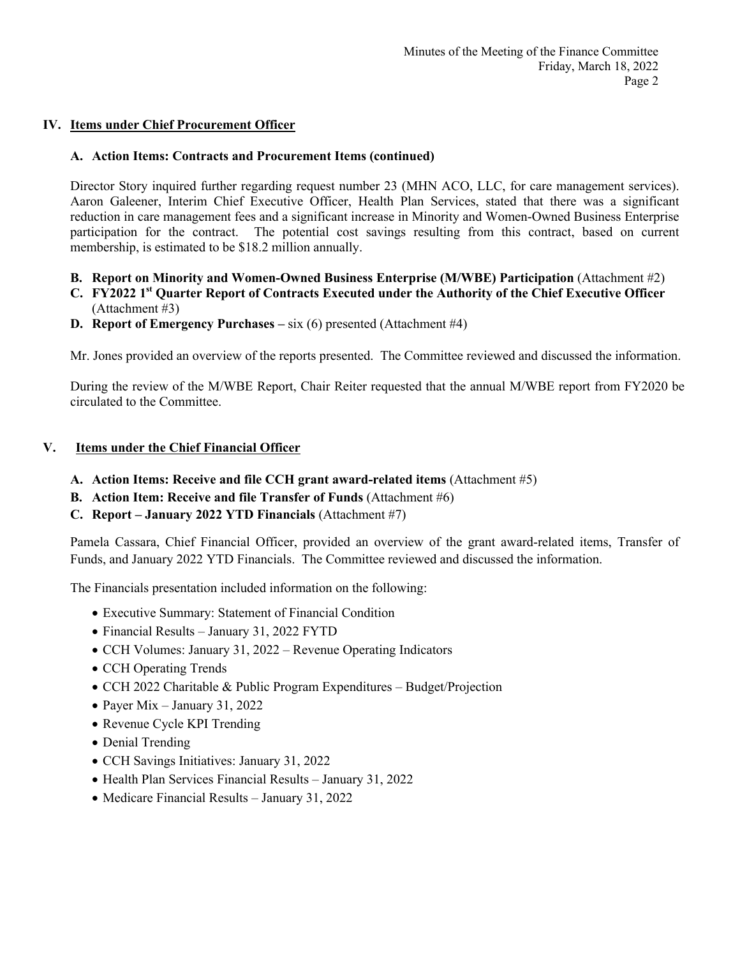# **IV. Items under Chief Procurement Officer**

## **A. Action Items: Contracts and Procurement Items (continued)**

Director Story inquired further regarding request number 23 (MHN ACO, LLC, for care management services). Aaron Galeener, Interim Chief Executive Officer, Health Plan Services, stated that there was a significant reduction in care management fees and a significant increase in Minority and Women-Owned Business Enterprise participation for the contract. The potential cost savings resulting from this contract, based on current membership, is estimated to be \$18.2 million annually.

- **B.** Report on Minority and Women-Owned Business Enterprise (M/WBE) Participation (Attachment #2)
- **C. FY2022 1st Quarter Report of Contracts Executed under the Authority of the Chief Executive Officer** (Attachment #3)
- **D. Report of Emergency Purchases –** six (6) presented (Attachment #4)

Mr. Jones provided an overview of the reports presented. The Committee reviewed and discussed the information.

During the review of the M/WBE Report, Chair Reiter requested that the annual M/WBE report from FY2020 be circulated to the Committee.

## **V. Items under the Chief Financial Officer**

- **A. Action Items: Receive and file CCH grant award-related items** (Attachment #5)
- **B. Action Item: Receive and file Transfer of Funds** (Attachment #6)
- **C. Report – January 2022 YTD Financials** (Attachment #7)

Pamela Cassara, Chief Financial Officer, provided an overview of the grant award-related items, Transfer of Funds, and January 2022 YTD Financials. The Committee reviewed and discussed the information.

The Financials presentation included information on the following:

- Executive Summary: Statement of Financial Condition
- Financial Results January 31, 2022 FYTD
- CCH Volumes: January 31, 2022 Revenue Operating Indicators
- CCH Operating Trends
- CCH 2022 Charitable & Public Program Expenditures Budget/Projection
- Payer Mix January 31, 2022
- Revenue Cycle KPI Trending
- Denial Trending
- CCH Savings Initiatives: January 31, 2022
- Health Plan Services Financial Results January 31, 2022
- Medicare Financial Results January 31, 2022